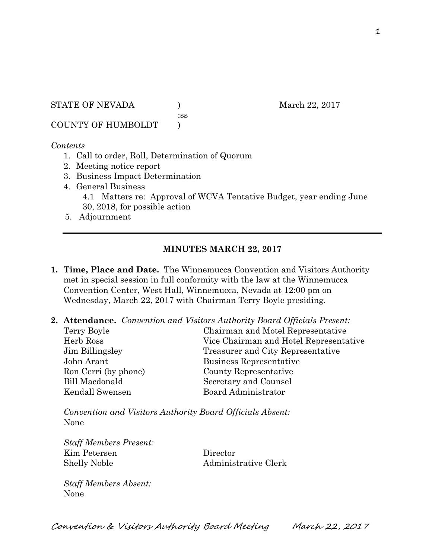STATE OF NEVADA (a) and  $\frac{1}{22}$ , 2017

:ss

COUNTY OF HUMBOLDT )

### *Contents*

- 1. Call to order, Roll, Determination of Quorum
- 2. Meeting notice report
- 3. Business Impact Determination
- 4. General Business 4.1 Matters re: Approval of WCVA Tentative Budget, year ending June 30, 2018, for possible action
- 5. Adjournment

## **MINUTES MARCH 22, 2017**

- **1. Time, Place and Date.** The Winnemucca Convention and Visitors Authority met in special session in full conformity with the law at the Winnemucca Convention Center, West Hall, Winnemucca, Nevada at 12:00 pm on Wednesday, March 22, 2017 with Chairman Terry Boyle presiding.
- **2. Attendance.** *Convention and Visitors Authority Board Officials Present:*

| Chairman and Motel Representative      |
|----------------------------------------|
| Vice Chairman and Hotel Representative |
| Treasurer and City Representative      |
| Business Representative                |
| County Representative                  |
| Secretary and Counsel                  |
| Board Administrator                    |
|                                        |

*Convention and Visitors Authority Board Officials Absent:*  None

*Staff Members Present:*  Kim Petersen Director Shelly Noble Administrative Clerk

*Staff Members Absent:*  None

Convention & Visitors Authority Board Meeting March 22, 2017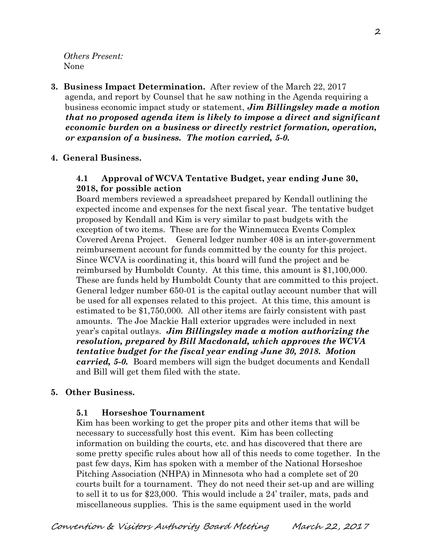*Others Present:*  None

**3. Business Impact Determination.** After review of the March 22, 2017 agenda, and report by Counsel that he saw nothing in the Agenda requiring a business economic impact study or statement, *Jim Billingsley made a motion that no proposed agenda item is likely to impose a direct and significant economic burden on a business or directly restrict formation, operation, or expansion of a business. The motion carried, 5-0.*

### **4. General Business.**

### **4.1 Approval of WCVA Tentative Budget, year ending June 30, 2018, for possible action**

Board members reviewed a spreadsheet prepared by Kendall outlining the expected income and expenses for the next fiscal year. The tentative budget proposed by Kendall and Kim is very similar to past budgets with the exception of two items. These are for the Winnemucca Events Complex Covered Arena Project. General ledger number 408 is an inter-government reimbursement account for funds committed by the county for this project. Since WCVA is coordinating it, this board will fund the project and be reimbursed by Humboldt County. At this time, this amount is \$1,100,000. These are funds held by Humboldt County that are committed to this project. General ledger number 650-01 is the capital outlay account number that will be used for all expenses related to this project. At this time, this amount is estimated to be \$1,750,000. All other items are fairly consistent with past amounts. The Joe Mackie Hall exterior upgrades were included in next year's capital outlays. *Jim Billingsley made a motion authorizing the resolution, prepared by Bill Macdonald, which approves the WCVA tentative budget for the fiscal year ending June 30, 2018. Motion carried, 5-0.* Board members will sign the budget documents and Kendall and Bill will get them filed with the state.

### **5. Other Business.**

#### **5.1 Horseshoe Tournament**

Kim has been working to get the proper pits and other items that will be necessary to successfully host this event. Kim has been collecting information on building the courts, etc. and has discovered that there are some pretty specific rules about how all of this needs to come together. In the past few days, Kim has spoken with a member of the National Horseshoe Pitching Association (NHPA) in Minnesota who had a complete set of 20 courts built for a tournament. They do not need their set-up and are willing to sell it to us for \$23,000. This would include a 24' trailer, mats, pads and miscellaneous supplies. This is the same equipment used in the world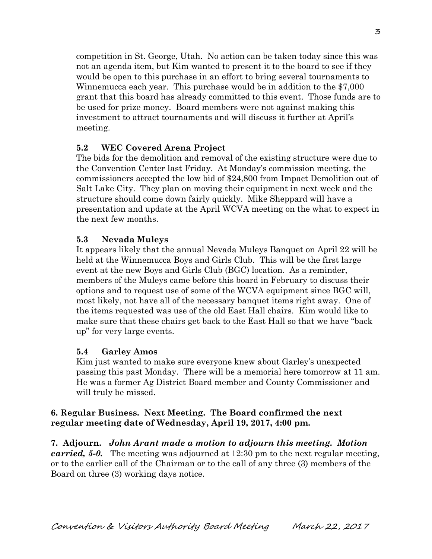competition in St. George, Utah. No action can be taken today since this was not an agenda item, but Kim wanted to present it to the board to see if they would be open to this purchase in an effort to bring several tournaments to Winnemucca each year. This purchase would be in addition to the \$7,000 grant that this board has already committed to this event. Those funds are to be used for prize money. Board members were not against making this investment to attract tournaments and will discuss it further at April's meeting.

# **5.2 WEC Covered Arena Project**

The bids for the demolition and removal of the existing structure were due to the Convention Center last Friday. At Monday's commission meeting, the commissioners accepted the low bid of \$24,800 from Impact Demolition out of Salt Lake City. They plan on moving their equipment in next week and the structure should come down fairly quickly. Mike Sheppard will have a presentation and update at the April WCVA meeting on the what to expect in the next few months.

## **5.3 Nevada Muleys**

It appears likely that the annual Nevada Muleys Banquet on April 22 will be held at the Winnemucca Boys and Girls Club. This will be the first large event at the new Boys and Girls Club (BGC) location. As a reminder, members of the Muleys came before this board in February to discuss their options and to request use of some of the WCVA equipment since BGC will, most likely, not have all of the necessary banquet items right away. One of the items requested was use of the old East Hall chairs. Kim would like to make sure that these chairs get back to the East Hall so that we have "back up" for very large events.

## **5.4 Garley Amos**

Kim just wanted to make sure everyone knew about Garley's unexpected passing this past Monday. There will be a memorial here tomorrow at 11 am. He was a former Ag District Board member and County Commissioner and will truly be missed.

## **6. Regular Business. Next Meeting. The Board confirmed the next regular meeting date of Wednesday, April 19, 2017, 4:00 pm.**

**7. Adjourn.** *John Arant made a motion to adjourn this meeting. Motion carried, 5-0.* The meeting was adjourned at 12:30 pm to the next regular meeting, or to the earlier call of the Chairman or to the call of any three (3) members of the Board on three (3) working days notice.